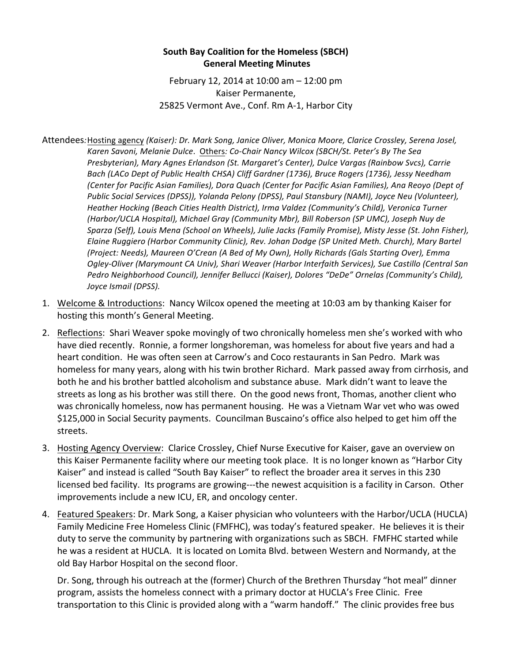## **South Bay Coalition for the Homeless (SBCH) General Meeting Minutes**

February 12, 2014 at 10:00 am  $-$  12:00 pm Kaiser Permanente, 25825 Vermont Ave., Conf. Rm A-1, Harbor City

Attendees: Hosting agency *(Kaiser): Dr. Mark Song, Janice Oliver, Monica Moore, Clarice Crossley, Serena Josel,* Karen Savoni, Melanie Dulce. Others: Co-Chair Nancy Wilcox (SBCH/St. Peter's By The Sea *Presbyterian), Mary Agnes Erlandson (St. Margaret's Center), Dulce Vargas (Rainbow Svcs), Carrie*  Bach (LACo Dept of Public Health CHSA) Cliff Gardner (1736), Bruce Rogers (1736), Jessy Needham *(Center for Pacific Asian Families), Dora Quach (Center for Pacific Asian Families), Ana Reoyo (Dept of Public Social Services (DPSS)), Yolanda Pelony (DPSS), Paul Stansbury (NAMI), Joyce Neu (Volunteer),* Heather Hocking (Beach Cities Health District), Irma Valdez (Community's Child), Veronica Turner *(Harbor/UCLA Hospital), Michael Gray (Community Mbr), Bill Roberson (SP UMC), Joseph Nuy de* Sparza (Self), Louis Mena (School on Wheels), Julie Jacks (Family Promise), Misty Jesse (St. John Fisher), Elaine Ruggiero (Harbor Community Clinic), Rev. Johan Dodge (SP United Meth. Church), Mary Bartel *(Project: Needs), Maureen O'Crean (A Bed of My Own), Holly Richards (Gals Starting Over), Emma*  Ogley-Oliver (Marymount CA Univ), Shari Weaver (Harbor Interfaith Services), Sue Castillo (Central San Pedro Neighborhood Council), Jennifer Bellucci (Kaiser), Dolores "DeDe" Ornelas (Community's Child), *Joyce Ismail (DPSS).*

- 1. Welcome & Introductions: Nancy Wilcox opened the meeting at 10:03 am by thanking Kaiser for hosting this month's General Meeting.
- 2. Reflections: Shari Weaver spoke movingly of two chronically homeless men she's worked with who have died recently. Ronnie, a former longshoreman, was homeless for about five years and had a heart condition. He was often seen at Carrow's and Coco restaurants in San Pedro. Mark was homeless for many years, along with his twin brother Richard. Mark passed away from cirrhosis, and both he and his brother battled alcoholism and substance abuse. Mark didn't want to leave the streets as long as his brother was still there. On the good news front, Thomas, another client who was chronically homeless, now has permanent housing. He was a Vietnam War vet who was owed \$125,000 in Social Security payments. Councilman Buscaino's office also helped to get him off the streets.
- 3. Hosting Agency Overview: Clarice Crossley, Chief Nurse Executive for Kaiser, gave an overview on this Kaiser Permanente facility where our meeting took place. It is no longer known as "Harbor City Kaiser" and instead is called "South Bay Kaiser" to reflect the broader area it serves in this 230 licensed bed facility. Its programs are growing---the newest acquisition is a facility in Carson. Other improvements include a new ICU, ER, and oncology center.
- 4. Featured Speakers: Dr. Mark Song, a Kaiser physician who volunteers with the Harbor/UCLA (HUCLA) Family Medicine Free Homeless Clinic (FMFHC), was today's featured speaker. He believes it is their duty to serve the community by partnering with organizations such as SBCH. FMFHC started while he was a resident at HUCLA. It is located on Lomita Blvd. between Western and Normandy, at the old Bay Harbor Hospital on the second floor.

Dr. Song, through his outreach at the (former) Church of the Brethren Thursday "hot meal" dinner program, assists the homeless connect with a primary doctor at HUCLA's Free Clinic. Free transportation to this Clinic is provided along with a "warm handoff." The clinic provides free bus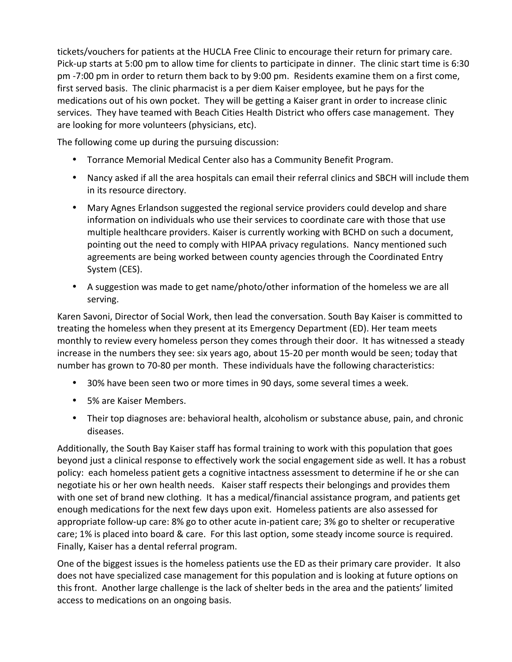tickets/vouchers for patients at the HUCLA Free Clinic to encourage their return for primary care. Pick-up starts at 5:00 pm to allow time for clients to participate in dinner. The clinic start time is 6:30 pm -7:00 pm in order to return them back to by 9:00 pm. Residents examine them on a first come, first served basis. The clinic pharmacist is a per diem Kaiser employee, but he pays for the medications out of his own pocket. They will be getting a Kaiser grant in order to increase clinic services. They have teamed with Beach Cities Health District who offers case management. They are looking for more volunteers (physicians, etc).

The following come up during the pursuing discussion:

- Torrance Memorial Medical Center also has a Community Benefit Program.
- Nancy asked if all the area hospitals can email their referral clinics and SBCH will include them in its resource directory.
- Mary Agnes Erlandson suggested the regional service providers could develop and share information on individuals who use their services to coordinate care with those that use multiple healthcare providers. Kaiser is currently working with BCHD on such a document, pointing out the need to comply with HIPAA privacy regulations. Nancy mentioned such agreements are being worked between county agencies through the Coordinated Entry System (CES).
- A suggestion was made to get name/photo/other information of the homeless we are all serving.

Karen Savoni, Director of Social Work, then lead the conversation. South Bay Kaiser is committed to treating the homeless when they present at its Emergency Department (ED). Her team meets monthly to review every homeless person they comes through their door. It has witnessed a steady increase in the numbers they see: six years ago, about 15-20 per month would be seen; today that number has grown to 70-80 per month. These individuals have the following characteristics:

- 30% have been seen two or more times in 90 days, some several times a week.
- 5% are Kaiser Members.
- Their top diagnoses are: behavioral health, alcoholism or substance abuse, pain, and chronic diseases.

Additionally, the South Bay Kaiser staff has formal training to work with this population that goes beyond just a clinical response to effectively work the social engagement side as well. It has a robust policy: each homeless patient gets a cognitive intactness assessment to determine if he or she can negotiate his or her own health needs. Kaiser staff respects their belongings and provides them with one set of brand new clothing. It has a medical/financial assistance program, and patients get enough medications for the next few days upon exit. Homeless patients are also assessed for appropriate follow-up care: 8% go to other acute in-patient care; 3% go to shelter or recuperative care; 1% is placed into board & care. For this last option, some steady income source is required. Finally, Kaiser has a dental referral program.

One of the biggest issues is the homeless patients use the ED as their primary care provider. It also does not have specialized case management for this population and is looking at future options on this front. Another large challenge is the lack of shelter beds in the area and the patients' limited access to medications on an ongoing basis.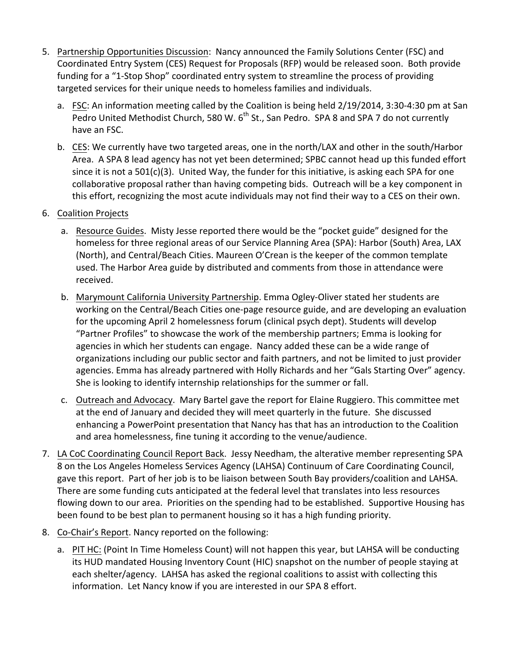- 5. Partnership Opportunities Discussion: Nancy announced the Family Solutions Center (FSC) and Coordinated Entry System (CES) Request for Proposals (RFP) would be released soon. Both provide funding for a "1-Stop Shop" coordinated entry system to streamline the process of providing targeted services for their unique needs to homeless families and individuals.
	- a. FSC: An information meeting called by the Coalition is being held 2/19/2014, 3:30-4:30 pm at San Pedro United Methodist Church, 580 W.  $6<sup>th</sup>$  St., San Pedro. SPA 8 and SPA 7 do not currently have an FSC.
	- b. CES: We currently have two targeted areas, one in the north/LAX and other in the south/Harbor Area. A SPA 8 lead agency has not yet been determined; SPBC cannot head up this funded effort since it is not a 501(c)(3). United Way, the funder for this initiative, is asking each SPA for one collaborative proposal rather than having competing bids. Outreach will be a key component in this effort, recognizing the most acute individuals may not find their way to a CES on their own.
- 6. Coalition Projects
	- a. Resource Guides. Misty Jesse reported there would be the "pocket guide" designed for the homeless for three regional areas of our Service Planning Area (SPA): Harbor (South) Area, LAX (North), and Central/Beach Cities. Maureen O'Crean is the keeper of the common template used. The Harbor Area guide by distributed and comments from those in attendance were received.
	- b. Marymount California University Partnership. Emma Ogley-Oliver stated her students are working on the Central/Beach Cities one-page resource guide, and are developing an evaluation for the upcoming April 2 homelessness forum (clinical psych dept). Students will develop "Partner Profiles" to showcase the work of the membership partners; Emma is looking for agencies in which her students can engage. Nancy added these can be a wide range of organizations including our public sector and faith partners, and not be limited to just provider agencies. Emma has already partnered with Holly Richards and her "Gals Starting Over" agency. She is looking to identify internship relationships for the summer or fall.
	- c. Outreach and Advocacy. Mary Bartel gave the report for Elaine Ruggiero. This committee met at the end of January and decided they will meet quarterly in the future. She discussed enhancing a PowerPoint presentation that Nancy has that has an introduction to the Coalition and area homelessness, fine tuning it according to the venue/audience.
- 7. LA CoC Coordinating Council Report Back. Jessy Needham, the alterative member representing SPA 8 on the Los Angeles Homeless Services Agency (LAHSA) Continuum of Care Coordinating Council, gave this report. Part of her job is to be liaison between South Bay providers/coalition and LAHSA. There are some funding cuts anticipated at the federal level that translates into less resources flowing down to our area. Priorities on the spending had to be established. Supportive Housing has been found to be best plan to permanent housing so it has a high funding priority.
- 8. Co-Chair's Report. Nancy reported on the following:
	- a. PIT HC: (Point In Time Homeless Count) will not happen this year, but LAHSA will be conducting its HUD mandated Housing Inventory Count (HIC) snapshot on the number of people staying at each shelter/agency. LAHSA has asked the regional coalitions to assist with collecting this information. Let Nancy know if you are interested in our SPA 8 effort.